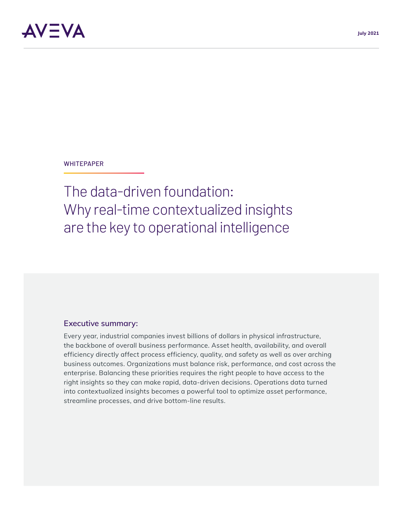#### **WHITEPAPER**

The data-driven foundation: Why real-time contextualized insights are the key to operational intelligence

#### **Executive summary:**

Every year, industrial companies invest billions of dollars in physical infrastructure, the backbone of overall business performance. Asset health, availability, and overall efficiency directly affect process efficiency, quality, and safety as well as over arching business outcomes. Organizations must balance risk, performance, and cost across the enterprise. Balancing these priorities requires the right people to have access to the right insights so they can make rapid, data-driven decisions. Operations data turned into contextualized insights becomes a powerful tool to optimize asset performance, streamline processes, and drive bottom-line results.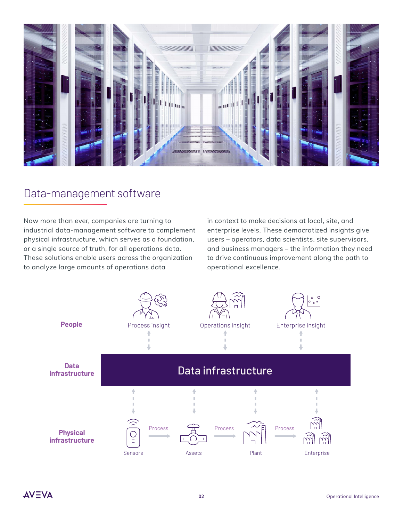

## Data-management software

Now more than ever, companies are turning to industrial data-management software to complement physical infrastructure, which serves as a foundation, or a single source of truth, for all operations data. These solutions enable users across the organization to analyze large amounts of operations data

in context to make decisions at local, site, and enterprise levels. These democratized insights give users – operators, data scientists, site supervisors, and business managers – the information they need to drive continuous improvement along the path to operational excellence.

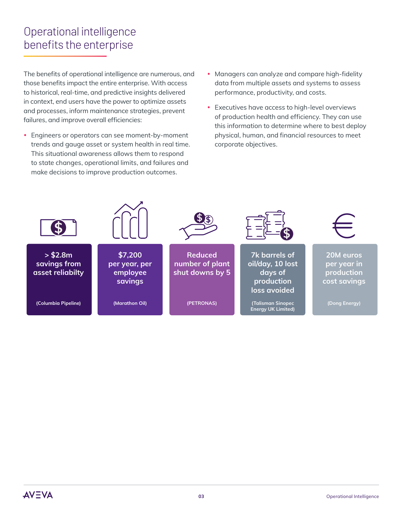# Operational intelligence benefits the enterprise

The benefits of operational intelligence are numerous, and those benefits impact the entire enterprise. With access to historical, real-time, and predictive insights delivered in context, end users have the power to optimize assets and processes, inform maintenance strategies, prevent failures, and improve overall efficiencies:

- Engineers or operators can see moment-by-moment trends and gauge asset or system health in real time. This situational awareness allows them to respond to state changes, operational limits, and failures and make decisions to improve production outcomes.
- Managers can analyze and compare high-fidelity data from multiple assets and systems to assess performance, productivity, and costs.
- Executives have access to high-level overviews of production health and efficiency. They can use this information to determine where to best deploy physical, human, and financial resources to meet corporate objectives.

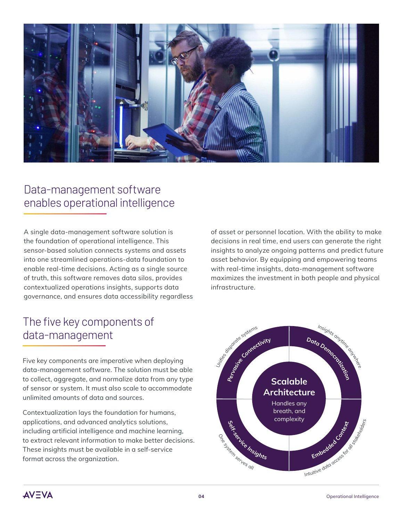

## Data-management software enables operational intelligence

A single data-management software solution is the foundation of operational intelligence. This sensor-based solution connects systems and assets into one streamlined operations-data foundation to enable real-time decisions. Acting as a single source of truth, this software removes data silos, provides contextualized operations insights, supports data governance, and ensures data accessibility regardless

# The five key components of data-management

of asset or personnel location. With the ability to make decisions in real time, end users can generate the right insights to analyze ongoing patterns and predict future asset behavior. By equipping and empowering teams with real-time insights, data-management software maximizes the investment in both people and physical infrastructure.

Five key components are imperative when deploying data-management software. The solution must be able to collect, aggregate, and normalize data from any type of sensor or system. It must also scale to accommodate unlimited amounts of data and sources.

Contextualization lays the foundation for humans, applications, and advanced analytics solutions, including artificial intelligence and machine learning, to extract relevant information to make better decisions. These insights must be available in a self-service format across the organization.